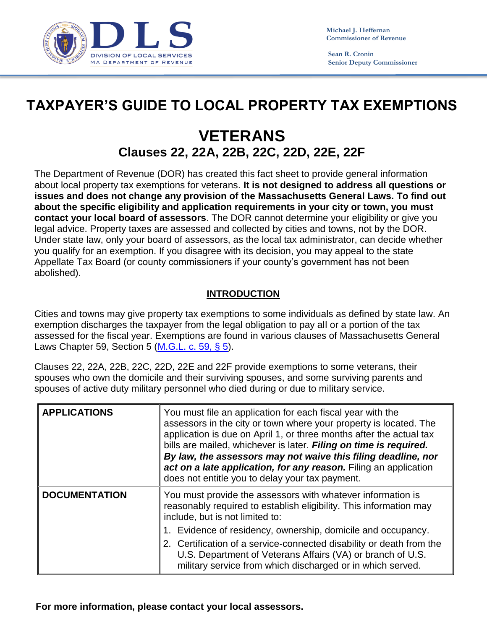

 **Sean R. Cronin Senior Deputy Commissioner**

## **TAXPAYER'S GUIDE TO LOCAL PROPERTY TAX EXEMPTIONS**

## **VETERANS Clauses 22, 22A, 22B, 22C, 22D, 22E, 22F**

The Department of Revenue (DOR) has created this fact sheet to provide general information about local property tax exemptions for veterans. **It is not designed to address all questions or issues and does not change any provision of the Massachusetts General Laws. To find out about the specific eligibility and application requirements in your city or town, you must contact your local board of assessors**. The DOR cannot determine your eligibility or give you legal advice. Property taxes are assessed and collected by cities and towns, not by the DOR. Under state law, only your board of assessors, as the local tax administrator, can decide whether you qualify for an exemption. If you disagree with its decision, you may appeal to the state Appellate Tax Board (or county commissioners if your county's government has not been abolished).

## **INTRODUCTION**

Cities and towns may give property tax exemptions to some individuals as defined by state law. An exemption discharges the taxpayer from the legal obligation to pay all or a portion of the tax assessed for the fiscal year. Exemptions are found in various clauses of Massachusetts General Laws Chapter 59, Section 5 [\(M.G.L. c. 59, § 5\)](http://www.malegislature.gov/Laws/GeneralLaws/PartI/TitleIX/Chapter59/Section5).

Clauses 22, 22A, 22B, 22C, 22D, 22E and 22F provide exemptions to some veterans, their spouses who own the domicile and their surviving spouses, and some surviving parents and spouses of active duty military personnel who died during or due to military service.

| <b>APPLICATIONS</b>  | You must file an application for each fiscal year with the<br>assessors in the city or town where your property is located. The<br>application is due on April 1, or three months after the actual tax<br>bills are mailed, whichever is later. Filing on time is required.<br>By law, the assessors may not waive this filing deadline, nor<br>act on a late application, for any reason. Filing an application<br>does not entitle you to delay your tax payment. |
|----------------------|---------------------------------------------------------------------------------------------------------------------------------------------------------------------------------------------------------------------------------------------------------------------------------------------------------------------------------------------------------------------------------------------------------------------------------------------------------------------|
| <b>DOCUMENTATION</b> | You must provide the assessors with whatever information is<br>reasonably required to establish eligibility. This information may<br>include, but is not limited to:<br>1. Evidence of residency, ownership, domicile and occupancy.<br>2. Certification of a service-connected disability or death from the<br>U.S. Department of Veterans Affairs (VA) or branch of U.S.<br>military service from which discharged or in which served.                            |

**For more information, please contact your local assessors.**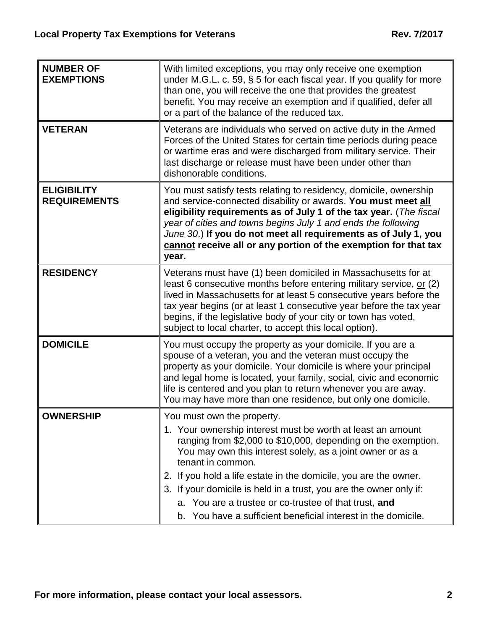| <b>NUMBER OF</b><br><b>EXEMPTIONS</b>     | With limited exceptions, you may only receive one exemption<br>under M.G.L. c. 59, § 5 for each fiscal year. If you qualify for more<br>than one, you will receive the one that provides the greatest<br>benefit. You may receive an exemption and if qualified, defer all<br>or a part of the balance of the reduced tax.                                                                                                                                                                                        |
|-------------------------------------------|-------------------------------------------------------------------------------------------------------------------------------------------------------------------------------------------------------------------------------------------------------------------------------------------------------------------------------------------------------------------------------------------------------------------------------------------------------------------------------------------------------------------|
| <b>VETERAN</b>                            | Veterans are individuals who served on active duty in the Armed<br>Forces of the United States for certain time periods during peace<br>or wartime eras and were discharged from military service. Their<br>last discharge or release must have been under other than<br>dishonorable conditions.                                                                                                                                                                                                                 |
| <b>ELIGIBILITY</b><br><b>REQUIREMENTS</b> | You must satisfy tests relating to residency, domicile, ownership<br>and service-connected disability or awards. You must meet all<br>eligibility requirements as of July 1 of the tax year. (The fiscal<br>year of cities and towns begins July 1 and ends the following<br>June 30.) If you do not meet all requirements as of July 1, you<br>cannot receive all or any portion of the exemption for that tax<br>year.                                                                                          |
| <b>RESIDENCY</b>                          | Veterans must have (1) been domiciled in Massachusetts for at<br>least 6 consecutive months before entering military service, or (2)<br>lived in Massachusetts for at least 5 consecutive years before the<br>tax year begins (or at least 1 consecutive year before the tax year<br>begins, if the legislative body of your city or town has voted,<br>subject to local charter, to accept this local option).                                                                                                   |
| <b>DOMICILE</b>                           | You must occupy the property as your domicile. If you are a<br>spouse of a veteran, you and the veteran must occupy the<br>property as your domicile. Your domicile is where your principal<br>and legal home is located, your family, social, civic and economic<br>life is centered and you plan to return whenever you are away.<br>You may have more than one residence, but only one domicile.                                                                                                               |
| <b>OWNERSHIP</b>                          | You must own the property.<br>1. Your ownership interest must be worth at least an amount<br>ranging from \$2,000 to \$10,000, depending on the exemption.<br>You may own this interest solely, as a joint owner or as a<br>tenant in common.<br>2. If you hold a life estate in the domicile, you are the owner.<br>3. If your domicile is held in a trust, you are the owner only if:<br>a. You are a trustee or co-trustee of that trust, and<br>b. You have a sufficient beneficial interest in the domicile. |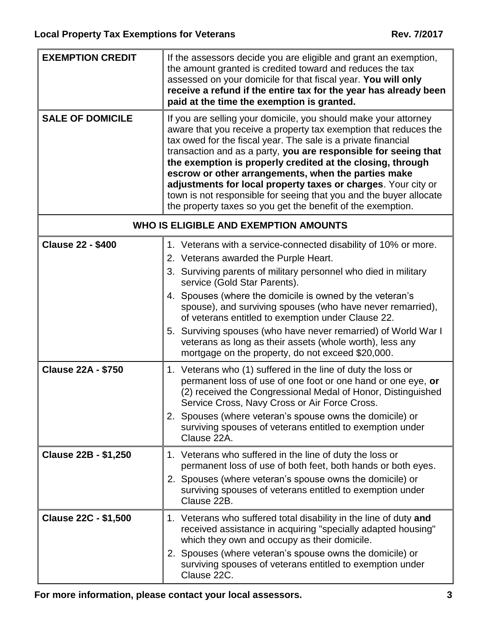| <b>EXEMPTION CREDIT</b>                      | If the assessors decide you are eligible and grant an exemption,<br>the amount granted is credited toward and reduces the tax<br>assessed on your domicile for that fiscal year. You will only<br>receive a refund if the entire tax for the year has already been<br>paid at the time the exemption is granted.                                                                                                                                                                                                                                                                                   |
|----------------------------------------------|----------------------------------------------------------------------------------------------------------------------------------------------------------------------------------------------------------------------------------------------------------------------------------------------------------------------------------------------------------------------------------------------------------------------------------------------------------------------------------------------------------------------------------------------------------------------------------------------------|
| <b>SALE OF DOMICILE</b>                      | If you are selling your domicile, you should make your attorney<br>aware that you receive a property tax exemption that reduces the<br>tax owed for the fiscal year. The sale is a private financial<br>transaction and as a party, you are responsible for seeing that<br>the exemption is properly credited at the closing, through<br>escrow or other arrangements, when the parties make<br>adjustments for local property taxes or charges. Your city or<br>town is not responsible for seeing that you and the buyer allocate<br>the property taxes so you get the benefit of the exemption. |
| <b>WHO IS ELIGIBLE AND EXEMPTION AMOUNTS</b> |                                                                                                                                                                                                                                                                                                                                                                                                                                                                                                                                                                                                    |
| <b>Clause 22 - \$400</b>                     | 1. Veterans with a service-connected disability of 10% or more.<br>2. Veterans awarded the Purple Heart.<br>3. Surviving parents of military personnel who died in military<br>service (Gold Star Parents).<br>4. Spouses (where the domicile is owned by the veteran's                                                                                                                                                                                                                                                                                                                            |
|                                              | spouse), and surviving spouses (who have never remarried),<br>of veterans entitled to exemption under Clause 22.                                                                                                                                                                                                                                                                                                                                                                                                                                                                                   |
|                                              | 5. Surviving spouses (who have never remarried) of World War I<br>veterans as long as their assets (whole worth), less any<br>mortgage on the property, do not exceed \$20,000.                                                                                                                                                                                                                                                                                                                                                                                                                    |
| <b>Clause 22A - \$750</b>                    | 1. Veterans who (1) suffered in the line of duty the loss or<br>permanent loss of use of one foot or one hand or one eye, or<br>(2) received the Congressional Medal of Honor, Distinguished<br>Service Cross, Navy Cross or Air Force Cross.<br>2. Spouses (where veteran's spouse owns the domicile) or                                                                                                                                                                                                                                                                                          |
|                                              | surviving spouses of veterans entitled to exemption under<br>Clause 22A.                                                                                                                                                                                                                                                                                                                                                                                                                                                                                                                           |
| <b>Clause 22B - \$1,250</b>                  | 1. Veterans who suffered in the line of duty the loss or<br>permanent loss of use of both feet, both hands or both eyes.<br>2. Spouses (where veteran's spouse owns the domicile) or<br>surviving spouses of veterans entitled to exemption under<br>Clause 22B.                                                                                                                                                                                                                                                                                                                                   |
| <b>Clause 22C - \$1,500</b>                  | 1. Veterans who suffered total disability in the line of duty and<br>received assistance in acquiring "specially adapted housing"<br>which they own and occupy as their domicile.<br>2. Spouses (where veteran's spouse owns the domicile) or                                                                                                                                                                                                                                                                                                                                                      |
|                                              | surviving spouses of veterans entitled to exemption under<br>Clause 22C.                                                                                                                                                                                                                                                                                                                                                                                                                                                                                                                           |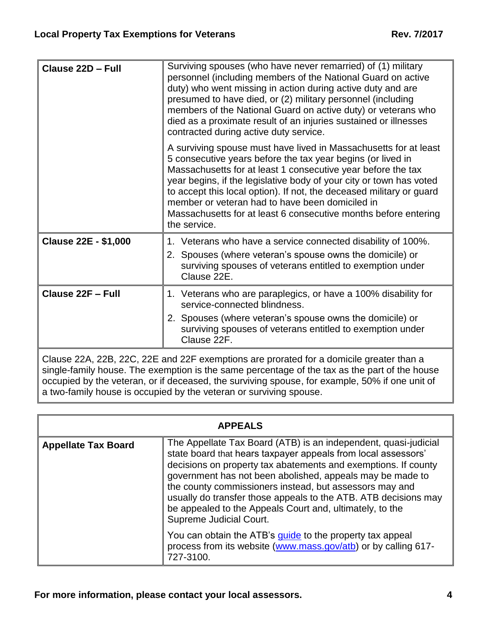| Clause 22D - Full           | Surviving spouses (who have never remarried) of (1) military<br>personnel (including members of the National Guard on active<br>duty) who went missing in action during active duty and are<br>presumed to have died, or (2) military personnel (including<br>members of the National Guard on active duty) or veterans who<br>died as a proximate result of an injuries sustained or illnesses<br>contracted during active duty service.                                            |
|-----------------------------|--------------------------------------------------------------------------------------------------------------------------------------------------------------------------------------------------------------------------------------------------------------------------------------------------------------------------------------------------------------------------------------------------------------------------------------------------------------------------------------|
|                             | A surviving spouse must have lived in Massachusetts for at least<br>5 consecutive years before the tax year begins (or lived in<br>Massachusetts for at least 1 consecutive year before the tax<br>year begins, if the legislative body of your city or town has voted<br>to accept this local option). If not, the deceased military or guard<br>member or veteran had to have been domiciled in<br>Massachusetts for at least 6 consecutive months before entering<br>the service. |
| <b>Clause 22E - \$1,000</b> | 1. Veterans who have a service connected disability of 100%.<br>2. Spouses (where veteran's spouse owns the domicile) or<br>surviving spouses of veterans entitled to exemption under<br>Clause 22E.                                                                                                                                                                                                                                                                                 |
| <b>Clause 22F - Full</b>    | 1. Veterans who are paraplegics, or have a 100% disability for<br>service-connected blindness.<br>2. Spouses (where veteran's spouse owns the domicile) or<br>surviving spouses of veterans entitled to exemption under<br>Clause 22F.                                                                                                                                                                                                                                               |
|                             | Clause 22A, 22B, 22C, 22E and 22F exemptions are prorated for a domicile greater than a                                                                                                                                                                                                                                                                                                                                                                                              |

single-family house. The exemption is the same percentage of the tax as the part of the house occupied by the veteran, or if deceased, the surviving spouse, for example, 50% if one unit of a two-family house is occupied by the veteran or surviving spouse.

| <b>APPEALS</b>             |                                                                                                                                                                                                                                                                                                                                                                                                                                                                                      |
|----------------------------|--------------------------------------------------------------------------------------------------------------------------------------------------------------------------------------------------------------------------------------------------------------------------------------------------------------------------------------------------------------------------------------------------------------------------------------------------------------------------------------|
| <b>Appellate Tax Board</b> | The Appellate Tax Board (ATB) is an independent, quasi-judicial<br>state board that hears taxpayer appeals from local assessors'<br>decisions on property tax abatements and exemptions. If county<br>government has not been abolished, appeals may be made to<br>the county commissioners instead, but assessors may and<br>usually do transfer those appeals to the ATB. ATB decisions may<br>be appealed to the Appeals Court and, ultimately, to the<br>Supreme Judicial Court. |
|                            | You can obtain the ATB's <i>quide</i> to the property tax appeal<br>process from its website (www.mass.gov/atb) or by calling 617-<br>727-3100.                                                                                                                                                                                                                                                                                                                                      |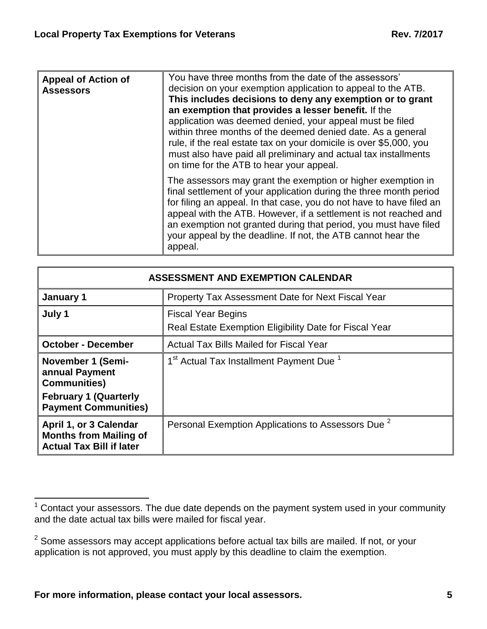| <b>Appeal of Action of</b><br><b>Assessors</b> | You have three months from the date of the assessors'<br>decision on your exemption application to appeal to the ATB.<br>This includes decisions to deny any exemption or to grant<br>an exemption that provides a lesser benefit. If the<br>application was deemed denied, your appeal must be filed<br>within three months of the deemed denied date. As a general<br>rule, if the real estate tax on your domicile is over \$5,000, you<br>must also have paid all preliminary and actual tax installments<br>on time for the ATB to hear your appeal. |
|------------------------------------------------|-----------------------------------------------------------------------------------------------------------------------------------------------------------------------------------------------------------------------------------------------------------------------------------------------------------------------------------------------------------------------------------------------------------------------------------------------------------------------------------------------------------------------------------------------------------|
|                                                | The assessors may grant the exemption or higher exemption in<br>final settlement of your application during the three month period<br>for filing an appeal. In that case, you do not have to have filed an<br>appeal with the ATB. However, if a settlement is not reached and<br>an exemption not granted during that period, you must have filed<br>your appeal by the deadline. If not, the ATB cannot hear the<br>appeal.                                                                                                                             |

| <b>ASSESSMENT AND EXEMPTION CALENDAR</b>                                                   |                                                                                     |
|--------------------------------------------------------------------------------------------|-------------------------------------------------------------------------------------|
| January 1                                                                                  | Property Tax Assessment Date for Next Fiscal Year                                   |
| July 1                                                                                     | <b>Fiscal Year Begins</b><br>Real Estate Exemption Eligibility Date for Fiscal Year |
| <b>October - December</b>                                                                  | Actual Tax Bills Mailed for Fiscal Year                                             |
| <b>November 1 (Semi-</b><br>annual Payment<br><b>Communities)</b>                          | 1 <sup>st</sup> Actual Tax Installment Payment Due <sup>1</sup>                     |
| <b>February 1 (Quarterly</b><br><b>Payment Communities)</b>                                |                                                                                     |
| April 1, or 3 Calendar<br><b>Months from Mailing of</b><br><b>Actual Tax Bill if later</b> | Personal Exemption Applications to Assessors Due <sup>2</sup>                       |

 $\overline{a}$  $1$  Contact your assessors. The due date depends on the payment system used in your community and the date actual tax bills were mailed for fiscal year.

 $2$  Some assessors may accept applications before actual tax bills are mailed. If not, or your application is not approved, you must apply by this deadline to claim the exemption.